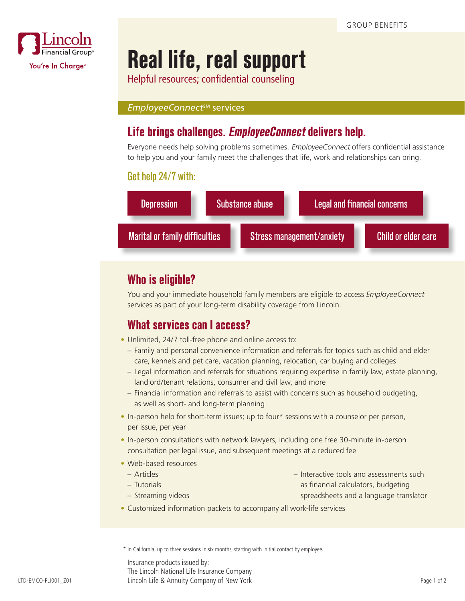

# **Real life, real support**

Helpful resources; confidential counseling

#### *EmployeeConnect<sup>sM</sup>* services

# **Life brings challenges. EmployeeConnect delivers help.**

Everyone needs help solving problems sometimes. EmployeeConnect offers confidential assistance to help you and your family meet the challenges that life, work and relationships can bring.

#### Get help 24/7 with:



## **Who is eligible?**

You and your immediate household family members are eligible to access *EmployeeConnect*  services as part of your long-term disability coverage from Lincoln.

#### **What services can I access?**

- Unlimited, 24/7 toll-free phone and online access to:
	- Family and personal convenience information and referrals for topics such as child and elder care, kennels and pet care, vacation planning, relocation, car buying and colleges
	- Legal information and referrals for situations requiring expertise in family law, estate planning, landlord/tenant relations, consumer and civil law, and more
	- Financial information and referrals to assist with concerns such as household budgeting, as well as short- and long-term planning
- In-person help for short-term issues; up to four\* sessions with a counselor per person, per issue, per year
- In-person consultations with network lawyers, including one free 30-minute in-person consultation per legal issue, and subsequent meetings at a reduced fee
- Web-based resources
	- Articles
	- Tutorials
	-
- Interactive tools and assessments such
	- as financial calculators, budgeting

– Streaming videos

- spreadsheets and a language translator
- Customized information packets to accompany all work-life services

\* In California, up to three sessions in six months, starting with initial contact by employee.

Insurance products issued by: The Lincoln National Life Insurance Company Lincoln Life & Annuity Company of New York LTD-EMCO-FLI001\_Z01 Page 1 of 2